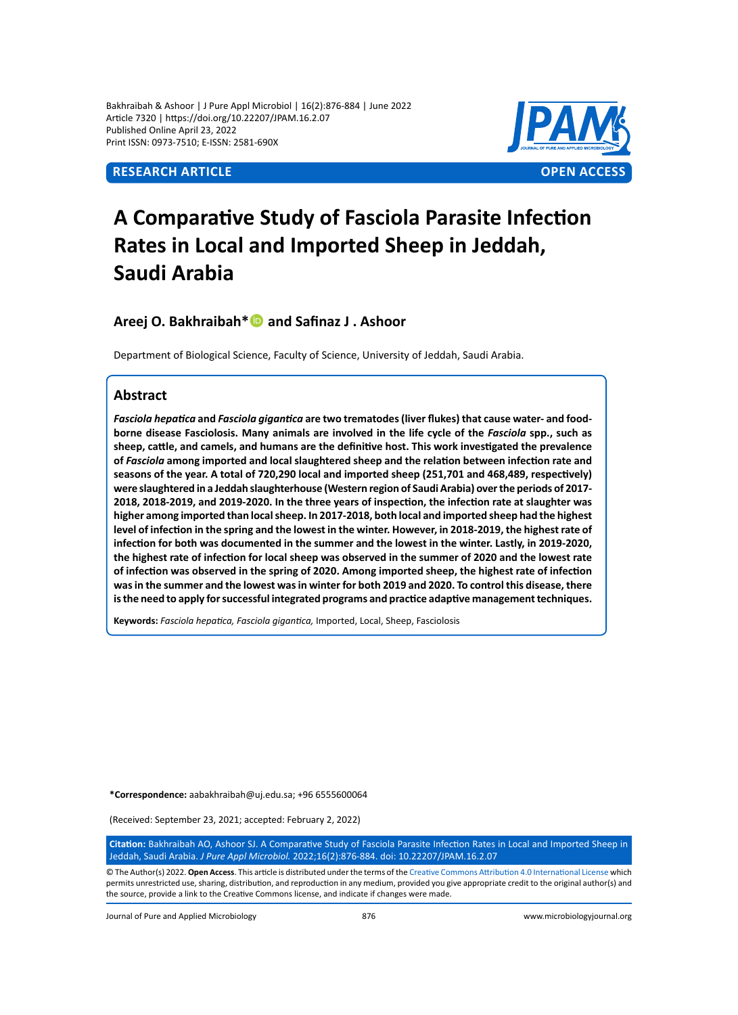Bakhraibah & Ashoor | J Pure Appl Microbiol | 16(2):876-884 | June 2022 Article 7320 | https://doi.org/10.22207/JPAM.16.2.07 Published Online April 23, 2022 Print ISSN: 0973-7510; E-ISSN: 2581-690X



# **A Comparative Study of Fasciola Parasite Infection Rates in Local and Imported Sheep in Jeddah, Saudi Arabia**

**Areej O. Bakhraibah\* and Safinaz J . Ashoor**

Department of Biological Science, Faculty of Science, University of Jeddah, Saudi Arabia.

#### **Abstract**

*Fasciola hepatica* **and** *Fasciola gigantica* **are two trematodes (liver flukes) that cause water- and foodborne disease Fasciolosis. Many animals are involved in the life cycle of the** *Fasciola* **spp., such as sheep, cattle, and camels, and humans are the definitive host. This work investigated the prevalence of** *Fasciola* **among imported and local slaughtered sheep and the relation between infection rate and seasons of the year. A total of 720,290 local and imported sheep (251,701 and 468,489, respectively) were slaughtered in a Jeddah slaughterhouse (Western region of Saudi Arabia) over the periods of 2017- 2018, 2018-2019, and 2019-2020. In the three years of inspection, the infection rate at slaughter was higher among imported than local sheep. In 2017-2018, both local and imported sheep had the highest level of infection in the spring and the lowest in the winter. However, in 2018-2019, the highest rate of infection for both was documented in the summer and the lowest in the winter. Lastly, in 2019-2020, the highest rate of infection for local sheep was observed in the summer of 2020 and the lowest rate of infection was observed in the spring of 2020. Among imported sheep, the highest rate of infection was in the summer and the lowest was in winter for both 2019 and 2020. To control this disease, there is the need to apply for successful integrated programs and practice adaptive management techniques.** 

**Keywords:** *Fasciola hepatica, Fasciola gigantica,* Imported, Local, Sheep, Fasciolosis

**\*Correspondence:** aabakhraibah@uj.edu.sa; +96 6555600064

(Received: September 23, 2021; accepted: February 2, 2022)

**Citation:** Bakhraibah AO, Ashoor SJ. A Comparative Study of Fasciola Parasite Infection Rates in Local and Imported Sheep in Jeddah, Saudi Arabia. *J Pure Appl Microbiol.* 2022;16(2):876-884. doi: 10.22207/JPAM.16.2.07

© The Author(s) 2022. **Open Access**. This article is distributed under the terms of the [Creative Commons Attribution 4.0 International License](https://creativecommons.org/licenses/by/4.0/) which permits unrestricted use, sharing, distribution, and reproduction in any medium, provided you give appropriate credit to the original author(s) and the source, provide a link to the Creative Commons license, and indicate if changes were made.

Journal of Pure and Applied Microbiology 876 www.microbiologyjournal.org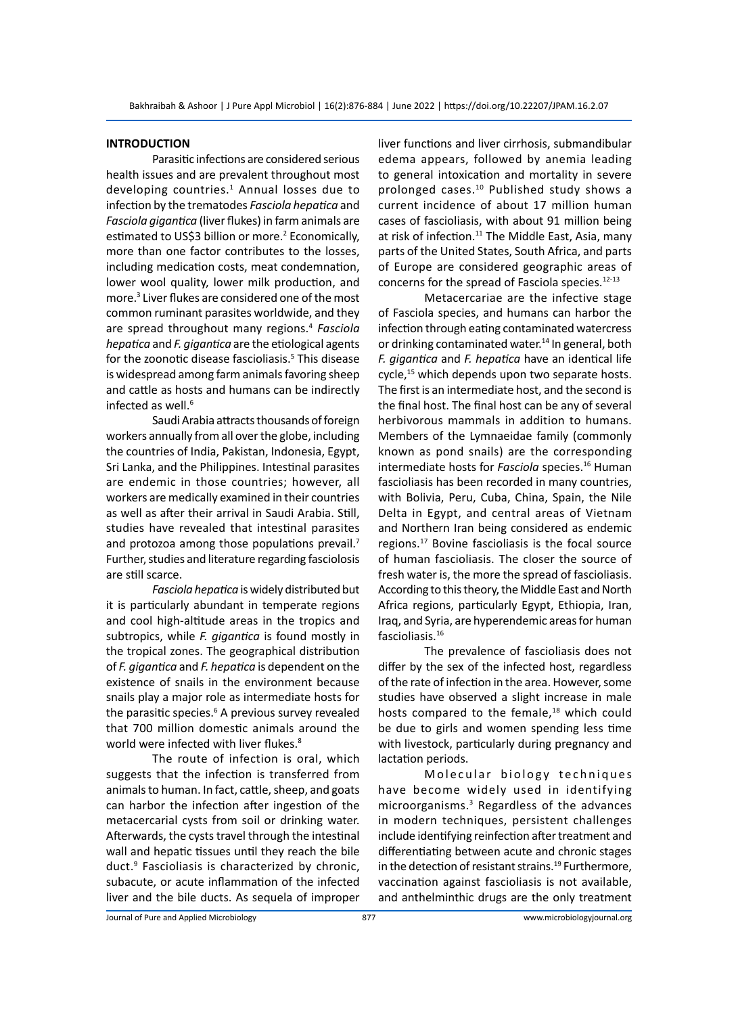#### **INTRODUCTION**

Parasitic infections are considered serious health issues and are prevalent throughout most developing countries.<sup>1</sup> Annual losses due to infection by the trematodes *Fasciola hepatica* and *Fasciola gigantica* (liver flukes) in farm animals are estimated to US\$3 billion or more.<sup>2</sup> Economically, more than one factor contributes to the losses, including medication costs, meat condemnation, lower wool quality, lower milk production, and more.3 Liver flukes are considered one of the most common ruminant parasites worldwide, and they are spread throughout many regions.<sup>4</sup> *Fasciola hepatica* and *F. gigantica* are the etiological agents for the zoonotic disease fascioliasis.<sup>5</sup> This disease is widespread among farm animals favoring sheep and cattle as hosts and humans can be indirectly infected as well. $6$ 

Saudi Arabia attracts thousands of foreign workers annually from all over the globe, including the countries of India, Pakistan, Indonesia, Egypt, Sri Lanka, and the Philippines. Intestinal parasites are endemic in those countries; however, all workers are medically examined in their countries as well as after their arrival in Saudi Arabia. Still, studies have revealed that intestinal parasites and protozoa among those populations prevail. $<sup>7</sup>$ </sup> Further, studies and literature regarding fasciolosis are still scarce.

*Fasciola hepatica* is widely distributed but it is particularly abundant in temperate regions and cool high-altitude areas in the tropics and subtropics, while *F. gigantica* is found mostly in the tropical zones. The geographical distribution of *F. gigantica* and *F. hepatica* is dependent on the existence of snails in the environment because snails play a major role as intermediate hosts for the parasitic species.<sup>6</sup> A previous survey revealed that 700 million domestic animals around the world were infected with liver flukes.<sup>8</sup>

The route of infection is oral, which suggests that the infection is transferred from animals to human. In fact, cattle, sheep, and goats can harbor the infection after ingestion of the metacercarial cysts from soil or drinking water. Afterwards, the cysts travel through the intestinal wall and hepatic tissues until they reach the bile duct.9 Fascioliasis is characterized by chronic, subacute, or acute inflammation of the infected liver and the bile ducts. As sequela of improper

liver functions and liver cirrhosis, submandibular edema appears, followed by anemia leading to general intoxication and mortality in severe prolonged cases.<sup>10</sup> Published study shows a current incidence of about 17 million human cases of fascioliasis, with about 91 million being at risk of infection. $11$  The Middle East, Asia, many parts of the United States, South Africa, and parts of Europe are considered geographic areas of concerns for the spread of Fasciola species.12-13

Metacercariae are the infective stage of Fasciola species, and humans can harbor the infection through eating contaminated watercress or drinking contaminated water.<sup>14</sup> In general, both *F. gigantica* and *F. hepatica* have an identical life cycle,<sup>15</sup> which depends upon two separate hosts. The first is an intermediate host, and the second is the final host. The final host can be any of several herbivorous mammals in addition to humans. Members of the Lymnaeidae family (commonly known as pond snails) are the corresponding intermediate hosts for *Fasciola* species.<sup>16</sup> Human fascioliasis has been recorded in many countries, with Bolivia, Peru, Cuba, China, Spain, the Nile Delta in Egypt, and central areas of Vietnam and Northern Iran being considered as endemic regions.<sup>17</sup> Bovine fascioliasis is the focal source of human fascioliasis. The closer the source of fresh water is, the more the spread of fascioliasis. According to this theory, the Middle East and North Africa regions, particularly Egypt, Ethiopia, Iran, Iraq, and Syria, are hyperendemic areas for human fascioliasis.<sup>16</sup>

The prevalence of fascioliasis does not differ by the sex of the infected host, regardless of the rate of infection in the area. However, some studies have observed a slight increase in male hosts compared to the female, $18$  which could be due to girls and women spending less time with livestock, particularly during pregnancy and lactation periods.

Molecular biology techniques have become widely used in identifying microorganisms.<sup>3</sup> Regardless of the advances in modern techniques, persistent challenges include identifying reinfection after treatment and differentiating between acute and chronic stages in the detection of resistant strains.<sup>19</sup> Furthermore, vaccination against fascioliasis is not available, and anthelminthic drugs are the only treatment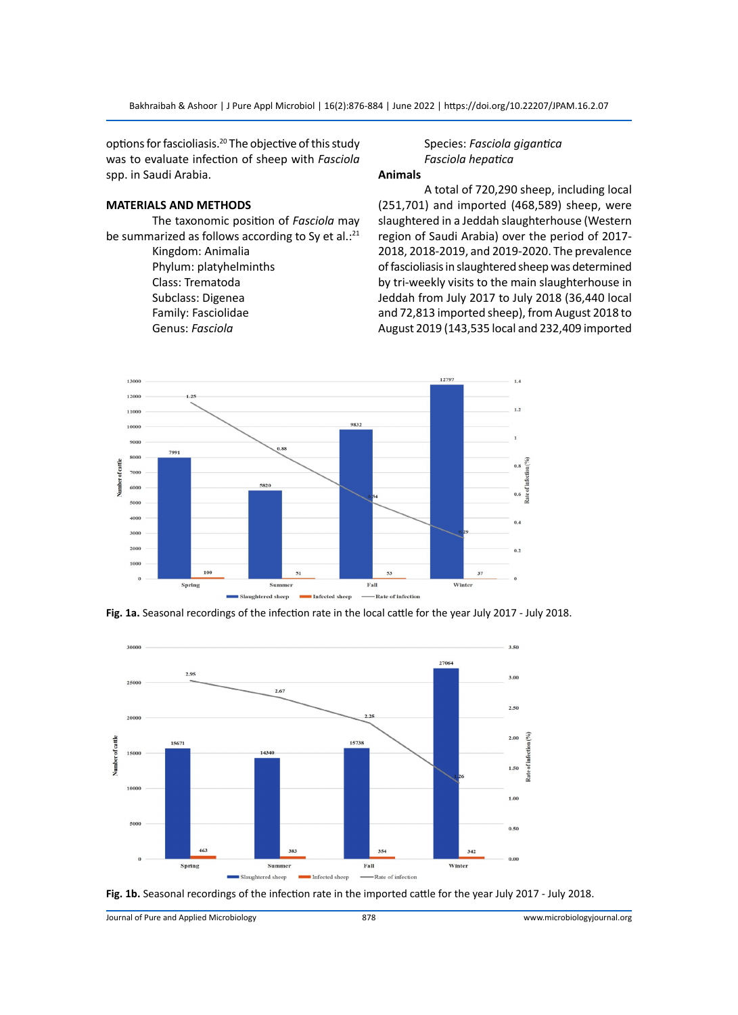options for fascioliasis.<sup>20</sup> The objective of this study was to evaluate infection of sheep with *Fasciola*  spp. in Saudi Arabia.

#### **MATERIALS AND METHODS**

The taxonomic position of *Fasciola* may be summarized as follows according to Sy et al.: $^{21}$ 

> Kingdom: Animalia Phylum: platyhelminths Class: Trematoda Subclass: Digenea Family: Fasciolidae Genus: *Fasciola*

### Species: *Fasciola gigantica Fasciola hepatica*

## **Animals**

A total of 720,290 sheep, including local (251,701) and imported (468,589) sheep, were slaughtered in a Jeddah slaughterhouse (Western region of Saudi Arabia) over the period of 2017- 2018, 2018-2019, and 2019-2020. The prevalence of fascioliasis in slaughtered sheep was determined by tri-weekly visits to the main slaughterhouse in Jeddah from July 2017 to July 2018 (36,440 local and 72,813 imported sheep), from August 2018 to August 2019 (143,535 local and 232,409 imported



**Fig. 1a.** Seasonal recordings of the infection rate in the local cattle for the year July 2017 - July 2018.





Journal of Pure and Applied Microbiology 878 www.microbiologyjournal.org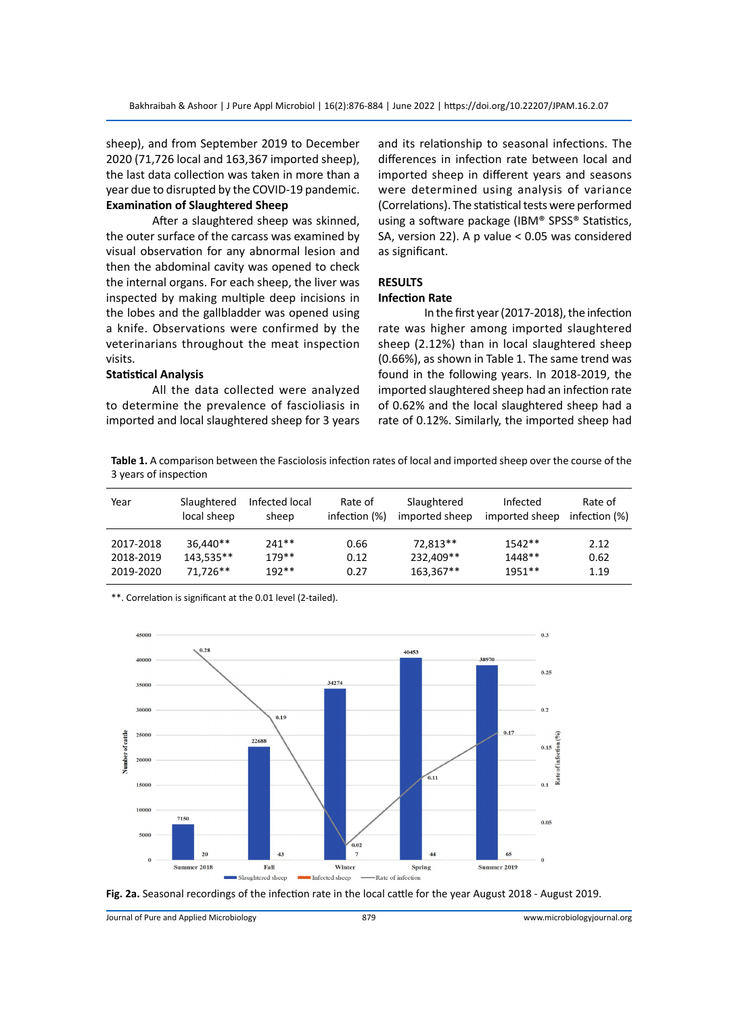sheep), and from September 2019 to December 2020 (71,726 local and 163,367 imported sheep), the last data collection was taken in more than a year due to disrupted by the COVID-19 pandemic. **Examination of Slaughtered Sheep** 

After a slaughtered sheep was skinned, the outer surface of the carcass was examined by visual observation for any abnormal lesion and then the abdominal cavity was opened to check the internal organs. For each sheep, the liver was inspected by making multiple deep incisions in the lobes and the gallbladder was opened using a knife. Observations were confirmed by the veterinarians throughout the meat inspection visits.

#### **Statistical Analysis**

All the data collected were analyzed to determine the prevalence of fascioliasis in imported and local slaughtered sheep for 3 years and its relationship to seasonal infections. The differences in infection rate between local and imported sheep in different years and seasons were determined using analysis of variance (Correlations). The statistical tests were performed using a software package (IBM® SPSS® Statistics, SA, version 22). A p value < 0.05 was considered as significant.

#### **RESULTS**

#### **Infection Rate**

In the first year (2017-2018), the infection rate was higher among imported slaughtered sheep (2.12%) than in local slaughtered sheep (0.66%), as shown in Table 1. The same trend was found in the following years. In 2018-2019, the imported slaughtered sheep had an infection rate of 0.62% and the local slaughtered sheep had a rate of 0.12%. Similarly, the imported sheep had

**Table 1.** A comparison between the Fasciolosis infection rates of local and imported sheep over the course of the 3 years of inspection

| Year      | Slaughtered | Infected local | Rate of       | Slaughtered    | Infected       | Rate of       |
|-----------|-------------|----------------|---------------|----------------|----------------|---------------|
|           | local sheep | sheep          | infection (%) | imported sheep | imported sheep | infection (%) |
| 2017-2018 | 36,440**    | $241**$        | 0.66          | 72.813**       | $1542**$       | 2.12          |
| 2018-2019 | 143.535**   | $179**$        | 0.12          | 232.409**      | 1448**         | 0.62          |
| 2019-2020 | 71.726**    | $192**$        | 0.27          | 163.367**      | $1951**$       | 1.19          |

\*\*. Correlation is significant at the 0.01 level (2-tailed).





Journal of Pure and Applied Microbiology 879 www.microbiologyjournal.org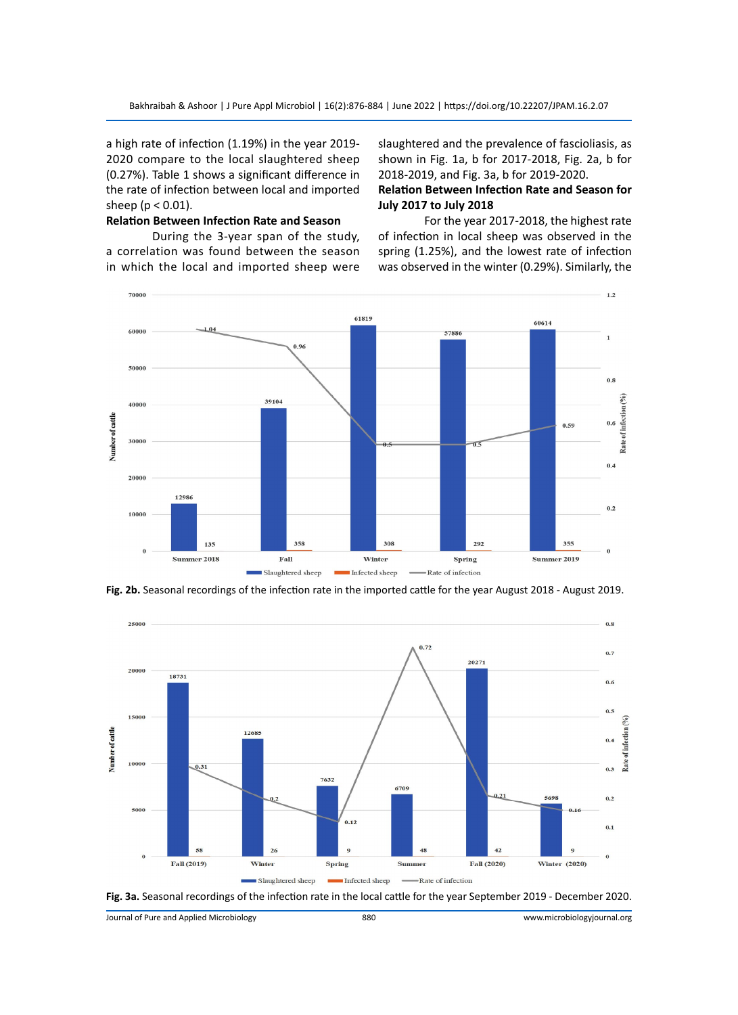a high rate of infection (1.19%) in the year 2019- 2020 compare to the local slaughtered sheep (0.27%). Table 1 shows a significant difference in the rate of infection between local and imported sheep ( $p < 0.01$ ).

#### **Relation Between Infection Rate and Season**

During the 3-year span of the study, a correlation was found between the season in which the local and imported sheep were slaughtered and the prevalence of fascioliasis, as shown in Fig. 1a, b for 2017-2018, Fig. 2a, b for 2018-2019, and Fig. 3a, b for 2019-2020.

#### **Relation Between Infection Rate and Season for July 2017 to July 2018**

For the year 2017-2018, the highest rate of infection in local sheep was observed in the spring (1.25%), and the lowest rate of infection was observed in the winter (0.29%). Similarly, the



**Fig. 2b.** Seasonal recordings of the infection rate in the imported cattle for the year August 2018 - August 2019.





Journal of Pure and Applied Microbiology 880 www.microbiologyjournal.org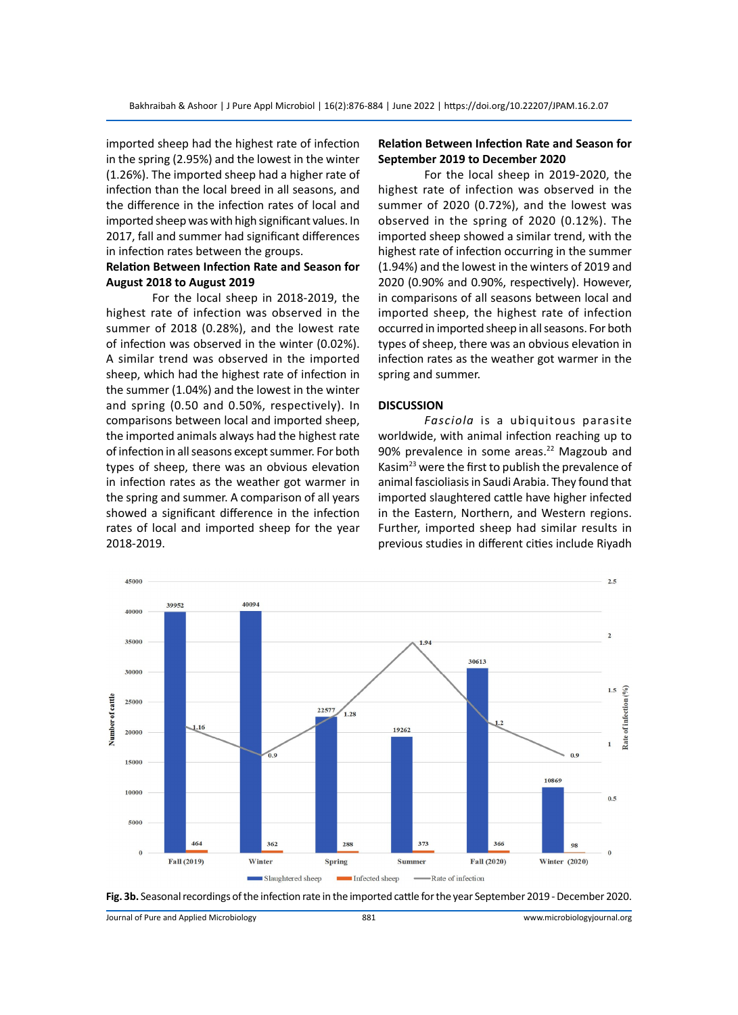imported sheep had the highest rate of infection in the spring (2.95%) and the lowest in the winter (1.26%). The imported sheep had a higher rate of infection than the local breed in all seasons, and the difference in the infection rates of local and imported sheep was with high significant values. In 2017, fall and summer had significant differences in infection rates between the groups.

#### **Relation Between Infection Rate and Season for August 2018 to August 2019**

For the local sheep in 2018-2019, the highest rate of infection was observed in the summer of 2018 (0.28%), and the lowest rate of infection was observed in the winter (0.02%). A similar trend was observed in the imported sheep, which had the highest rate of infection in the summer (1.04%) and the lowest in the winter and spring (0.50 and 0.50%, respectively). In comparisons between local and imported sheep, the imported animals always had the highest rate of infection in all seasons except summer. For both types of sheep, there was an obvious elevation in infection rates as the weather got warmer in the spring and summer. A comparison of all years showed a significant difference in the infection rates of local and imported sheep for the year 2018-2019.

#### **Relation Between Infection Rate and Season for September 2019 to December 2020**

For the local sheep in 2019-2020, the highest rate of infection was observed in the summer of 2020 (0.72%), and the lowest was observed in the spring of 2020 (0.12%). The imported sheep showed a similar trend, with the highest rate of infection occurring in the summer (1.94%) and the lowest in the winters of 2019 and 2020 (0.90% and 0.90%, respectively). However, in comparisons of all seasons between local and imported sheep, the highest rate of infection occurred in imported sheep in all seasons. For both types of sheep, there was an obvious elevation in infection rates as the weather got warmer in the spring and summer.

#### **DISCUSSION**

*Fasciola* is a ubiquitous parasite worldwide, with animal infection reaching up to 90% prevalence in some areas.<sup>22</sup> Magzoub and Kasim<sup>23</sup> were the first to publish the prevalence of animal fascioliasis in Saudi Arabia. They found that imported slaughtered cattle have higher infected in the Eastern, Northern, and Western regions. Further, imported sheep had similar results in previous studies in different cities include Riyadh





Journal of Pure and Applied Microbiology 881 www.microbiologyjournal.org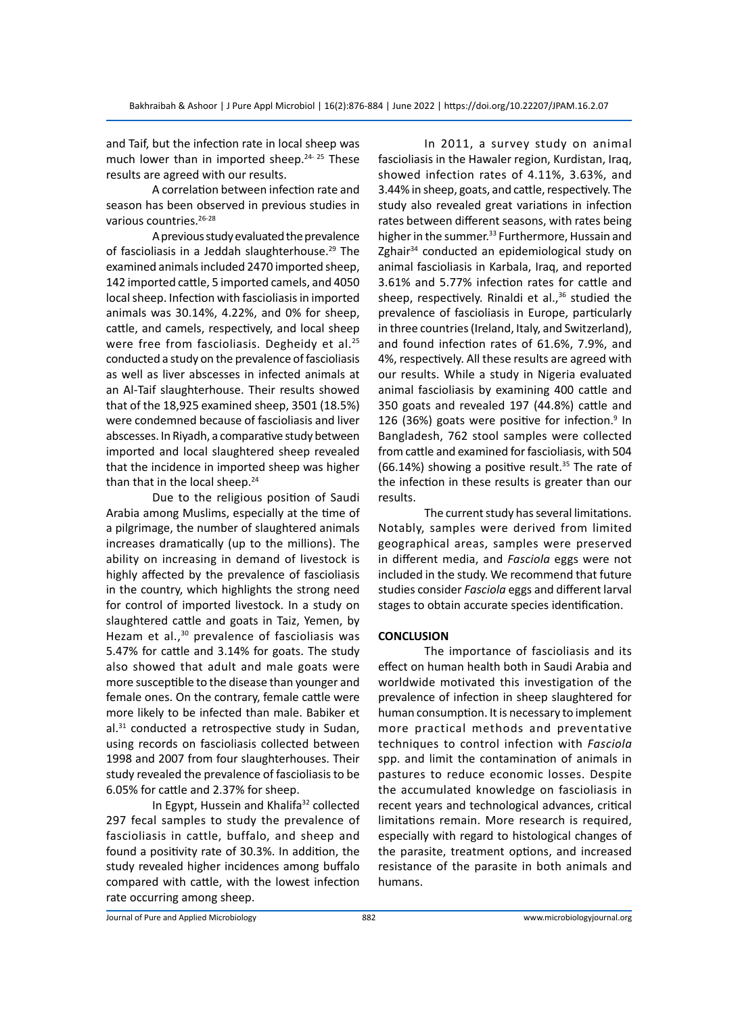and Taif, but the infection rate in local sheep was much lower than in imported sheep. $24-25$  These results are agreed with our results.

A correlation between infection rate and season has been observed in previous studies in various countries.<sup>26-28</sup>

A previous study evaluated the prevalence of fascioliasis in a Jeddah slaughterhouse.<sup>29</sup> The examined animals included 2470 imported sheep, 142 imported cattle, 5 imported camels, and 4050 local sheep. Infection with fascioliasis in imported animals was 30.14%, 4.22%, and 0% for sheep, cattle, and camels, respectively, and local sheep were free from fascioliasis. Degheidy et al.<sup>25</sup> conducted a study on the prevalence of fascioliasis as well as liver abscesses in infected animals at an Al-Taif slaughterhouse. Their results showed that of the 18,925 examined sheep, 3501 (18.5%) were condemned because of fascioliasis and liver abscesses. In Riyadh, a comparative study between imported and local slaughtered sheep revealed that the incidence in imported sheep was higher than that in the local sheep. $24$ 

Due to the religious position of Saudi Arabia among Muslims, especially at the time of a pilgrimage, the number of slaughtered animals increases dramatically (up to the millions). The ability on increasing in demand of livestock is highly affected by the prevalence of fascioliasis in the country, which highlights the strong need for control of imported livestock. In a study on slaughtered cattle and goats in Taiz, Yemen, by Hezam et al.,<sup>30</sup> prevalence of fascioliasis was 5.47% for cattle and 3.14% for goats. The study also showed that adult and male goats were more susceptible to the disease than younger and female ones. On the contrary, female cattle were more likely to be infected than male. Babiker et al.<sup>31</sup> conducted a retrospective study in Sudan, using records on fascioliasis collected between 1998 and 2007 from four slaughterhouses. Their study revealed the prevalence of fascioliasis to be 6.05% for cattle and 2.37% for sheep.

In Egypt, Hussein and Khalifa<sup>32</sup> collected 297 fecal samples to study the prevalence of fascioliasis in cattle, buffalo, and sheep and found a positivity rate of 30.3%. In addition, the study revealed higher incidences among buffalo compared with cattle, with the lowest infection rate occurring among sheep.

In 2011, a survey study on animal fascioliasis in the Hawaler region, Kurdistan, Iraq, showed infection rates of 4.11%, 3.63%, and 3.44% in sheep, goats, and cattle, respectively. The study also revealed great variations in infection rates between different seasons, with rates being higher in the summer.<sup>33</sup> Furthermore, Hussain and Zghair<sup>34</sup> conducted an epidemiological study on animal fascioliasis in Karbala, Iraq, and reported 3.61% and 5.77% infection rates for cattle and sheep, respectively. Rinaldi et al., $36$  studied the prevalence of fascioliasis in Europe, particularly in three countries (Ireland, Italy, and Switzerland), and found infection rates of 61.6%, 7.9%, and 4%, respectively. All these results are agreed with our results. While a study in Nigeria evaluated animal fascioliasis by examining 400 cattle and 350 goats and revealed 197 (44.8%) cattle and 126 (36%) goats were positive for infection.<sup>9</sup> In Bangladesh, 762 stool samples were collected from cattle and examined for fascioliasis, with 504 (66.14%) showing a positive result.<sup>35</sup> The rate of the infection in these results is greater than our results.

The current study has several limitations. Notably, samples were derived from limited geographical areas, samples were preserved in different media, and *Fasciola* eggs were not included in the study. We recommend that future studies consider *Fasciola* eggs and different larval stages to obtain accurate species identification.

#### **CONCLUSION**

The importance of fascioliasis and its effect on human health both in Saudi Arabia and worldwide motivated this investigation of the prevalence of infection in sheep slaughtered for human consumption. It is necessary to implement more practical methods and preventative techniques to control infection with *Fasciola* spp. and limit the contamination of animals in pastures to reduce economic losses. Despite the accumulated knowledge on fascioliasis in recent years and technological advances, critical limitations remain. More research is required, especially with regard to histological changes of the parasite, treatment options, and increased resistance of the parasite in both animals and humans.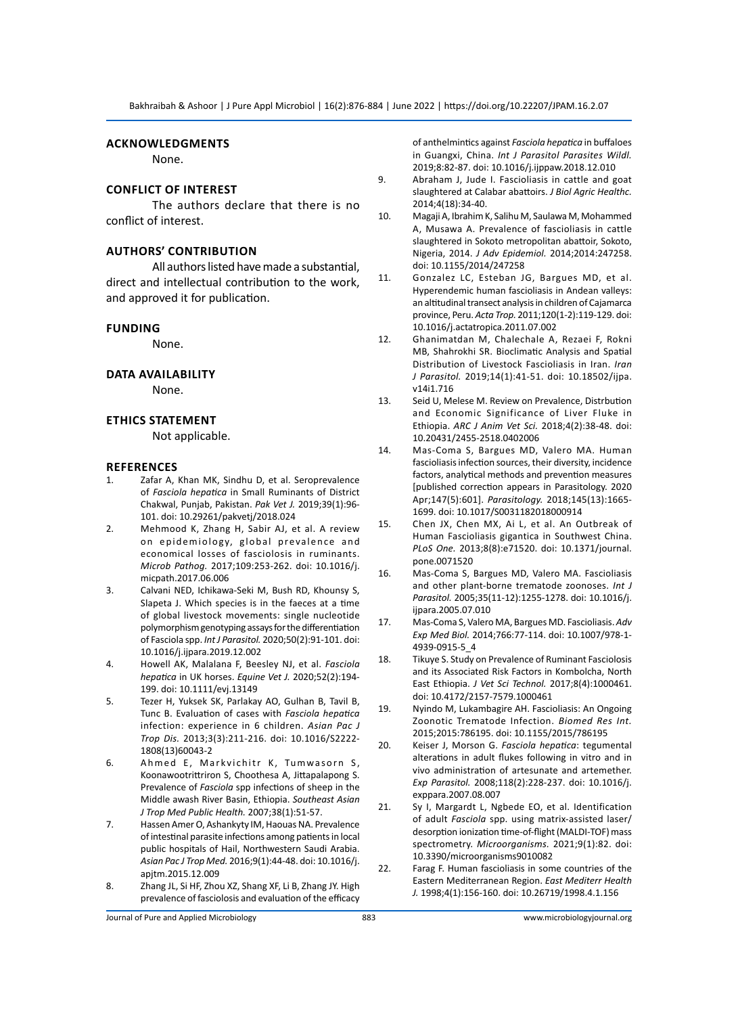#### **Acknowledgments**

None.

#### **Conflict of Interest**

The authors declare that there is no conflict of interest.

#### **Authors' Contribution**

All authors listed have made a substantial, direct and intellectual contribution to the work, and approved it for publication.

#### **Funding**

None.

#### **Data Availability**

None.

#### **Ethics Statement**

Not applicable.

#### **References**

- Zafar A, Khan MK, Sindhu D, et al. Seroprevalence of *Fasciola hepatica* in Small Ruminants of District Chakwal, Punjab, Pakistan. *Pak Vet J.* 2019;39(1):96- 101. doi: 10.29261/pakvetj/2018.024
- 2. Mehmood K, Zhang H, Sabir AJ, et al. A review on epidemiology, global prevalence and economical losses of fasciolosis in ruminants. *Microb Pathog.* 2017;109:253-262. doi: 10.1016/j. micpath.2017.06.006
- 3. Calvani NED, Ichikawa-Seki M, Bush RD, Khounsy S, Slapeta J. Which species is in the faeces at a time of global livestock movements: single nucleotide polymorphism genotyping assays for the differentiation of Fasciola spp. *Int J Parasitol.* 2020;50(2):91-101. doi: 10.1016/j.ijpara.2019.12.002
- 4. Howell AK, Malalana F, Beesley NJ, et al. *Fasciola hepatica* in UK horses. *Equine Vet J.* 2020;52(2):194- 199. doi: 10.1111/evj.13149
- 5. Tezer H, Yuksek SK, Parlakay AO, Gulhan B, Tavil B, Tunc B. Evaluation of cases with *Fasciola hepatica* infection: experience in 6 children. *Asian Pac J Trop Dis.* 2013;3(3):211-216. doi: 10.1016/S2222- 1808(13)60043-2
- 6. Ahmed E, Markvichitr K, Tumwasorn S, Koonawootrittriron S, Choothesa A, Jittapalapong S. Prevalence of *Fasciola* spp infections of sheep in the Middle awash River Basin, Ethiopia. *Southeast Asian J Trop Med Public Health.* 2007;38(1):51-57.
- 7. Hassen Amer O, Ashankyty IM, Haouas NA. Prevalence of intestinal parasite infections among patients in local public hospitals of Hail, Northwestern Saudi Arabia. *Asian Pac J Trop Med.* 2016;9(1):44-48. doi: 10.1016/j. apjtm.2015.12.009
- 8. Zhang JL, Si HF, Zhou XZ, Shang XF, Li B, Zhang JY. High prevalence of fasciolosis and evaluation of the efficacy

of anthelmintics against *Fasciola hepatica* in buffaloes in Guangxi, China. *Int J Parasitol Parasites Wildl.* 2019;8:82-87. doi: 10.1016/j.ijppaw.2018.12.010

- 9. Abraham J, Jude I. Fascioliasis in cattle and goat slaughtered at Calabar abattoirs. *J Biol Agric Healthc.* 2014;4(18):34-40.
- 10. Magaji A, Ibrahim K, Salihu M, Saulawa M, Mohammed A, Musawa A. Prevalence of fascioliasis in cattle slaughtered in Sokoto metropolitan abattoir, Sokoto, Nigeria, 2014. *J Adv Epidemiol.* 2014;2014:247258. doi: 10.1155/2014/247258
- 11. Gonzalez LC, Esteban JG, Bargues MD, et al. Hyperendemic human fascioliasis in Andean valleys: an altitudinal transect analysis in children of Cajamarca province, Peru. *Acta Trop.* 2011;120(1-2):119-129. doi: 10.1016/j.actatropica.2011.07.002
- 12. Ghanimatdan M, Chalechale A, Rezaei F, Rokni MB, Shahrokhi SR. Bioclimatic Analysis and Spatial Distribution of Livestock Fascioliasis in Iran. *Iran J Parasitol.* 2019;14(1):41-51. doi: 10.18502/ijpa. v14i1.716
- 13. Seid U, Melese M. Review on Prevalence, Distrbution and Economic Significance of Liver Fluke in Ethiopia. *ARC J Anim Vet Sci.* 2018;4(2):38-48. doi: 10.20431/2455-2518.0402006
- 14. Mas-Coma S, Bargues MD, Valero MA. Human fascioliasis infection sources, their diversity, incidence factors, analytical methods and prevention measures [published correction appears in Parasitology. 2020 Apr;147(5):601]. *Parasitology.* 2018;145(13):1665- 1699. doi: 10.1017/S0031182018000914
- 15. Chen JX, Chen MX, Ai L, et al. An Outbreak of Human Fascioliasis gigantica in Southwest China. *PLoS One.* 2013;8(8):e71520. doi: 10.1371/journal. pone.0071520
- 16. Mas-Coma S, Bargues MD, Valero MA. Fascioliasis and other plant-borne trematode zoonoses. *Int J Parasitol.* 2005;35(11-12):1255-1278. doi: 10.1016/j. ijpara.2005.07.010
- 17. Mas-Coma S, Valero MA, Bargues MD. Fascioliasis. *Adv Exp Med Biol.* 2014;766:77-114. doi: 10.1007/978-1- 4939-0915-5\_4
- 18. Tikuye S. Study on Prevalence of Ruminant Fasciolosis and its Associated Risk Factors in Kombolcha, North East Ethiopia. *J Vet Sci Technol.* 2017;8(4):1000461. doi: 10.4172/2157-7579.1000461
- 19. Nyindo M, Lukambagire AH. Fascioliasis: An Ongoing Zoonotic Trematode Infection. *Biomed Res Int.* 2015;2015:786195. doi: 10.1155/2015/786195
- 20. Keiser J, Morson G. *Fasciola hepatica*: tegumental alterations in adult flukes following in vitro and in vivo administration of artesunate and artemether. *Exp Parasitol.* 2008;118(2):228-237. doi: 10.1016/j. exppara.2007.08.007
- 21. Sy I, Margardt L, Ngbede EO, et al. Identification of adult *Fasciola* spp. using matrix-assisted laser/ desorption ionization time-of-flight (MALDI-TOF) mass spectrometry. *Microorganisms.* 2021;9(1):82. doi: 10.3390/microorganisms9010082
- 22. Farag F. Human fascioliasis in some countries of the Eastern Mediterranean Region. *East Mediterr Health J.* 1998;4(1):156-160. doi: 10.26719/1998.4.1.156